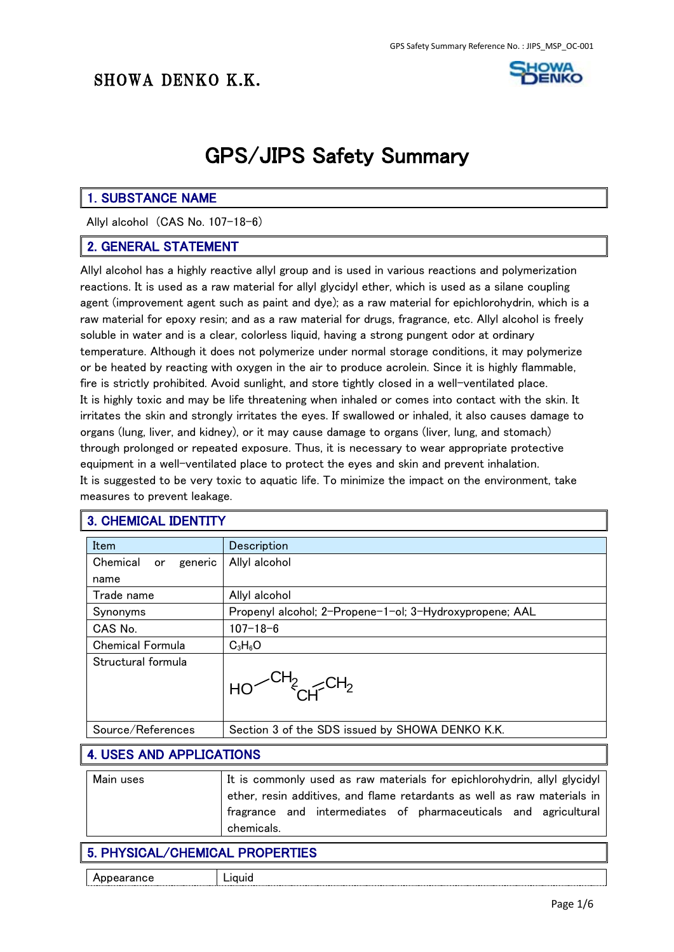

# GPS/JIPS Safety Summary

#### 1. SUBSTANCE NAME

Allyl alcohol (CAS No. 107-18-6)

#### 2. GENERAL STATEMENT

Allyl alcohol has a highly reactive allyl group and is used in various reactions and polymerization reactions. It is used as a raw material for allyl glycidyl ether, which is used as a silane coupling agent (improvement agent such as paint and dye); as a raw material for epichlorohydrin, which is a raw material for epoxy resin; and as a raw material for drugs, fragrance, etc. Allyl alcohol is freely soluble in water and is a clear, colorless liquid, having a strong pungent odor at ordinary temperature. Although it does not polymerize under normal storage conditions, it may polymerize or be heated by reacting with oxygen in the air to produce acrolein. Since it is highly flammable, fire is strictly prohibited. Avoid sunlight, and store tightly closed in a well-ventilated place. It is highly toxic and may be life threatening when inhaled or comes into contact with the skin. It irritates the skin and strongly irritates the eyes. If swallowed or inhaled, it also causes damage to organs (lung, liver, and kidney), or it may cause damage to organs (liver, lung, and stomach) through prolonged or repeated exposure. Thus, it is necessary to wear appropriate protective equipment in a well-ventilated place to protect the eyes and skin and prevent inhalation. It is suggested to be very toxic to aquatic life. To minimize the impact on the environment, take measures to prevent leakage.

#### 3. CHEMICAL IDENTITY

| Item                      | Description                                             |
|---------------------------|---------------------------------------------------------|
| Chemical<br>generic<br>or | Allyl alcohol                                           |
| name                      |                                                         |
| Trade name                | Allyl alcohol                                           |
| Synonyms                  | Propenyl alcohol; 2-Propene-1-ol; 3-Hydroxypropene; AAL |
| CAS No.                   | $107 - 18 - 6$                                          |
| <b>Chemical Formula</b>   | $C_3H_6O$                                               |
| Structural formula        | $\overline{m_{2}}$                                      |
| Source/References         | Section 3 of the SDS issued by SHOWA DENKO K.K.         |

#### 4. USES AND APPLICATIONS

| Main uses | It is commonly used as raw materials for epichlorohydrin, allyl glycidyl |
|-----------|--------------------------------------------------------------------------|
|           | ether, resin additives, and flame retardants as well as raw materials in |
|           | fragrance and intermediates of pharmaceuticals and agricultural          |
|           | chemicals.                                                               |

#### 5. PHYSICAL/CHEMICAL PROPERTIES

Appearance | Liquid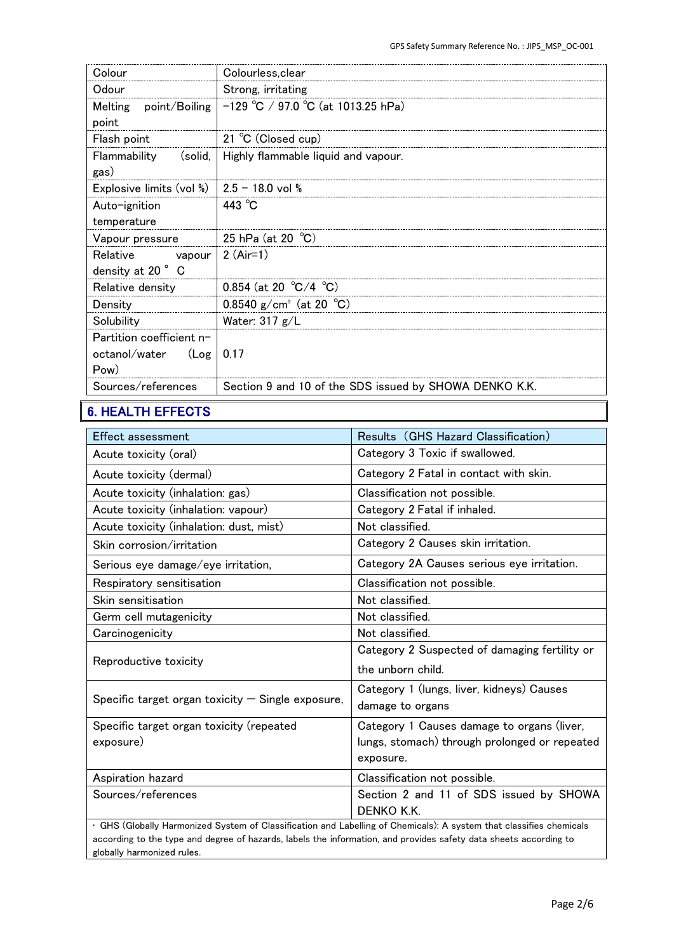| Colourless, clear                                      |
|--------------------------------------------------------|
| Strong, irritating                                     |
| $-129$ °C / 97.0 °C (at 1013.25 hPa)                   |
|                                                        |
| 21 °C (Closed cup)                                     |
| Highly flammable liquid and vapour.                    |
|                                                        |
| $2.5 - 18.0$ vol %                                     |
| 443 $^{\circ}$ C                                       |
|                                                        |
| 25 hPa (at 20 $^{\circ}$ C)                            |
| 2 $(Air=1)$                                            |
|                                                        |
| 0.854 (at 20 °C/4 °C)                                  |
| 0.8540 g/cm <sup>3</sup> (at 20 °C)                    |
| Water: $317 g/L$                                       |
|                                                        |
| 0.17                                                   |
|                                                        |
| Section 9 and 10 of the SDS issued by SHOWA DENKO K.K. |
|                                                        |

# 6. HEALTH EFFECTS

| Effect assessment                                                                                                   | Results (GHS Hazard Classification)           |
|---------------------------------------------------------------------------------------------------------------------|-----------------------------------------------|
| Acute toxicity (oral)                                                                                               | Category 3 Toxic if swallowed.                |
| Acute toxicity (dermal)                                                                                             | Category 2 Fatal in contact with skin.        |
| Acute toxicity (inhalation: gas)                                                                                    | Classification not possible.                  |
| Acute toxicity (inhalation: vapour)                                                                                 | Category 2 Fatal if inhaled.                  |
| Acute toxicity (inhalation: dust, mist)                                                                             | Not classified.                               |
| Skin corrosion/irritation                                                                                           | Category 2 Causes skin irritation.            |
| Serious eye damage/eye irritation,                                                                                  | Category 2A Causes serious eye irritation.    |
| Respiratory sensitisation                                                                                           | Classification not possible.                  |
| Skin sensitisation                                                                                                  | Not classified.                               |
| Germ cell mutagenicity                                                                                              | Not classified.                               |
| Carcinogenicity                                                                                                     | Not classified.                               |
|                                                                                                                     | Category 2 Suspected of damaging fertility or |
| Reproductive toxicity                                                                                               | the unborn child.                             |
|                                                                                                                     | Category 1 (lungs, liver, kidneys) Causes     |
| Specific target organ toxicity $-$ Single exposure,                                                                 | damage to organs                              |
| Specific target organ toxicity (repeated                                                                            | Category 1 Causes damage to organs (liver,    |
| exposure)                                                                                                           | lungs, stomach) through prolonged or repeated |
|                                                                                                                     | exposure.                                     |
| Aspiration hazard                                                                                                   | Classification not possible.                  |
| Sources/references                                                                                                  | Section 2 and 11 of SDS issued by SHOWA       |
|                                                                                                                     | DENKO K.K.                                    |
| · GHS (Globally Harmonized System of Classification and Labelling of Chemicals): A system that classifies chemicals |                                               |

according to the type and degree of hazards, labels the information, and provides safety data sheets according to globally harmonized rules.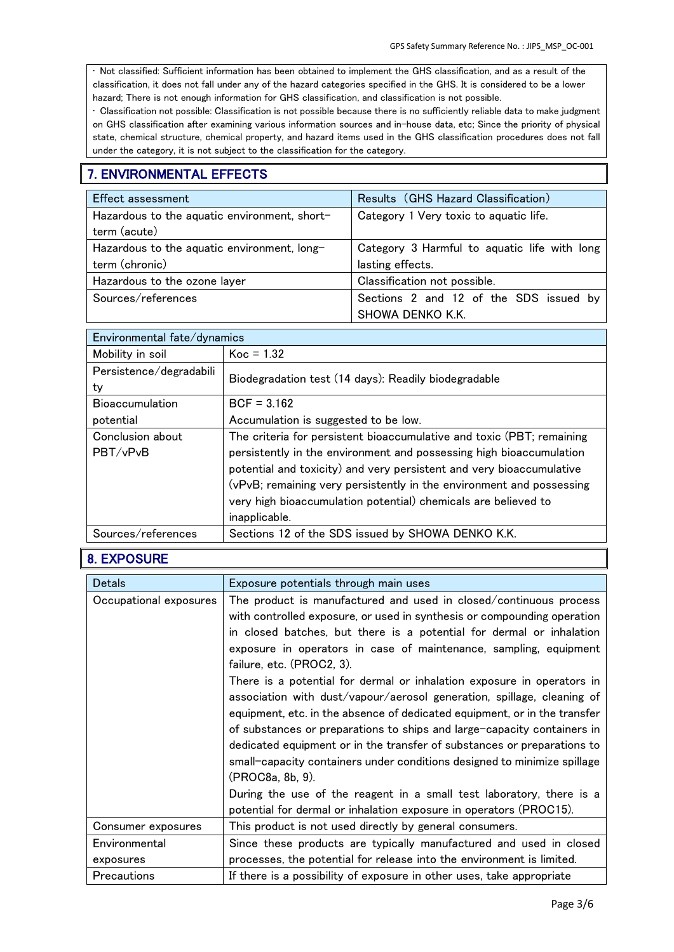• Not classified: Sufficient information has been obtained to implement the GHS classification, and as a result of the classification, it does not fall under any of the hazard categories specified in the GHS. It is considered to be a lower hazard; There is not enough information for GHS classification, and classification is not possible.

• Classification not possible: Classification is not possible because there is no sufficiently reliable data to make judgment on GHS classification after examining various information sources and in-house data, etc; Since the priority of physical state, chemical structure, chemical property, and hazard items used in the GHS classification procedures does not fall under the category, it is not subject to the classification for the category.

#### 7. ENVIRONMENTAL EFFECTS

| <b>Effect assessment</b>                     | Results (GHS Hazard Classification)          |
|----------------------------------------------|----------------------------------------------|
| Hazardous to the aquatic environment, short- | Category 1 Very toxic to aquatic life.       |
| term (acute)                                 |                                              |
| Hazardous to the aquatic environment, long-  | Category 3 Harmful to aquatic life with long |
| term (chronic)                               | lasting effects.                             |
| Hazardous to the ozone layer                 | Classification not possible.                 |
| Sources/references                           | Sections 2 and 12 of the SDS issued by       |
|                                              | SHOWA DENKO K.K.                             |

| Environmental fate/dynamics |                                                                       |
|-----------------------------|-----------------------------------------------------------------------|
| Mobility in soil            | $Koc = 1.32$                                                          |
| Persistence/degradabili     | Biodegradation test (14 days): Readily biodegradable                  |
| ty                          |                                                                       |
| <b>Bioaccumulation</b>      | $BCF = 3.162$                                                         |
| potential                   | Accumulation is suggested to be low.                                  |
| Conclusion about            | The criteria for persistent bioaccumulative and toxic (PBT; remaining |
| PBT/vPvB                    | persistently in the environment and possessing high bioaccumulation   |
|                             | potential and toxicity) and very persistent and very bioaccumulative  |
|                             | (vPvB; remaining very persistently in the environment and possessing  |
|                             | very high bioaccumulation potential) chemicals are believed to        |
|                             | inapplicable.                                                         |
| Sources/references          | Sections 12 of the SDS issued by SHOWA DENKO K.K.                     |

#### 8. EXPOSURE

| <b>Detals</b>          | Exposure potentials through main uses                                                                                                                                                                                                                                                                                                                                                                                                                                                                                                                                                                                                                                                                                                                                                                                                                                                                                                                       |
|------------------------|-------------------------------------------------------------------------------------------------------------------------------------------------------------------------------------------------------------------------------------------------------------------------------------------------------------------------------------------------------------------------------------------------------------------------------------------------------------------------------------------------------------------------------------------------------------------------------------------------------------------------------------------------------------------------------------------------------------------------------------------------------------------------------------------------------------------------------------------------------------------------------------------------------------------------------------------------------------|
| Occupational exposures | The product is manufactured and used in closed/continuous process<br>with controlled exposure, or used in synthesis or compounding operation<br>in closed batches, but there is a potential for dermal or inhalation<br>exposure in operators in case of maintenance, sampling, equipment<br>failure, etc. (PROC2, 3).<br>There is a potential for dermal or inhalation exposure in operators in<br>association with dust/vapour/aerosol generation, spillage, cleaning of<br>equipment, etc. in the absence of dedicated equipment, or in the transfer<br>of substances or preparations to ships and large-capacity containers in<br>dedicated equipment or in the transfer of substances or preparations to<br>small-capacity containers under conditions designed to minimize spillage<br>(PROC8a, 8b, 9).<br>During the use of the reagent in a small test laboratory, there is a<br>potential for dermal or inhalation exposure in operators (PROC15). |
| Consumer exposures     | This product is not used directly by general consumers.                                                                                                                                                                                                                                                                                                                                                                                                                                                                                                                                                                                                                                                                                                                                                                                                                                                                                                     |
| Environmental          | Since these products are typically manufactured and used in closed                                                                                                                                                                                                                                                                                                                                                                                                                                                                                                                                                                                                                                                                                                                                                                                                                                                                                          |
| exposures              | processes, the potential for release into the environment is limited.                                                                                                                                                                                                                                                                                                                                                                                                                                                                                                                                                                                                                                                                                                                                                                                                                                                                                       |
| Precautions            | If there is a possibility of exposure in other uses, take appropriate                                                                                                                                                                                                                                                                                                                                                                                                                                                                                                                                                                                                                                                                                                                                                                                                                                                                                       |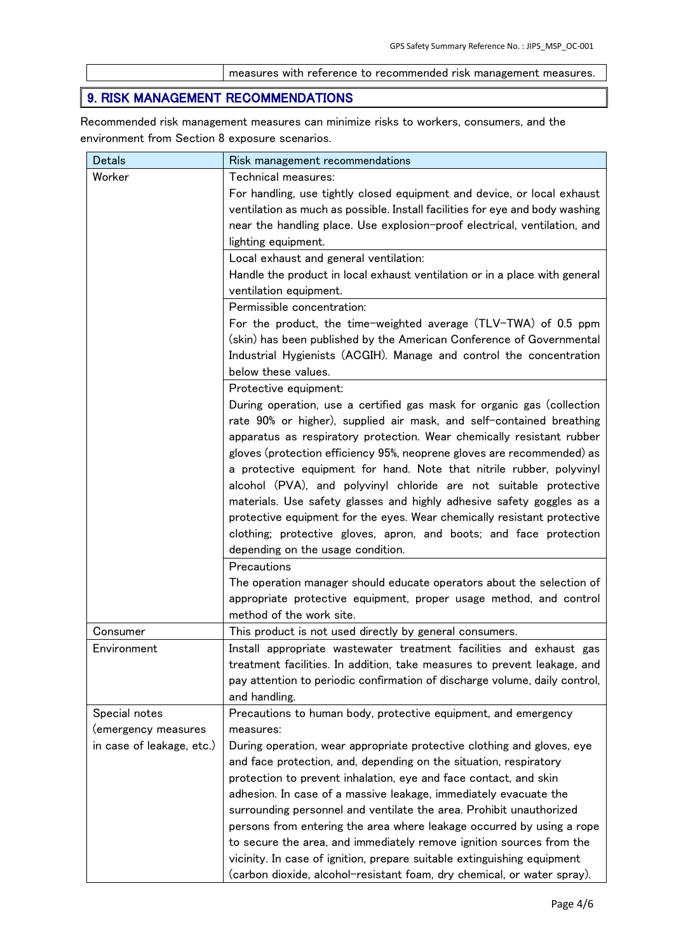measures with reference to recommended risk management measures.

## 9. RISK MANAGEMENT RECOMMENDATIONS

Recommended risk management measures can minimize risks to workers, consumers, and the environment from Section 8 exposure scenarios.

| <b>Detals</b>             | Risk management recommendations                                                                                                                        |
|---------------------------|--------------------------------------------------------------------------------------------------------------------------------------------------------|
| Worker                    | Technical measures:                                                                                                                                    |
|                           | For handling, use tightly closed equipment and device, or local exhaust                                                                                |
|                           | ventilation as much as possible. Install facilities for eye and body washing                                                                           |
|                           | near the handling place. Use explosion-proof electrical, ventilation, and                                                                              |
|                           | lighting equipment.                                                                                                                                    |
|                           | Local exhaust and general ventilation:                                                                                                                 |
|                           | Handle the product in local exhaust ventilation or in a place with general                                                                             |
|                           | ventilation equipment.                                                                                                                                 |
|                           | Permissible concentration:                                                                                                                             |
|                           | For the product, the time-weighted average (TLV-TWA) of 0.5 ppm                                                                                        |
|                           | (skin) has been published by the American Conference of Governmental                                                                                   |
|                           | Industrial Hygienists (ACGIH). Manage and control the concentration                                                                                    |
|                           | below these values.                                                                                                                                    |
|                           | Protective equipment:                                                                                                                                  |
|                           | During operation, use a certified gas mask for organic gas (collection                                                                                 |
|                           | rate 90% or higher), supplied air mask, and self-contained breathing                                                                                   |
|                           | apparatus as respiratory protection. Wear chemically resistant rubber                                                                                  |
|                           | gloves (protection efficiency 95%, neoprene gloves are recommended) as                                                                                 |
|                           | a protective equipment for hand. Note that nitrile rubber, polyvinyl                                                                                   |
|                           | alcohol (PVA), and polyvinyl chloride are not suitable protective                                                                                      |
|                           | materials. Use safety glasses and highly adhesive safety goggles as a                                                                                  |
|                           | protective equipment for the eyes. Wear chemically resistant protective                                                                                |
|                           | clothing; protective gloves, apron, and boots; and face protection                                                                                     |
|                           | depending on the usage condition.                                                                                                                      |
|                           | Precautions                                                                                                                                            |
|                           | The operation manager should educate operators about the selection of                                                                                  |
|                           | appropriate protective equipment, proper usage method, and control                                                                                     |
|                           | method of the work site.                                                                                                                               |
| Consumer<br>Environment   | This product is not used directly by general consumers.<br>Install appropriate wastewater treatment facilities and exhaust gas                         |
|                           |                                                                                                                                                        |
|                           | treatment facilities. In addition, take measures to prevent leakage, and<br>pay attention to periodic confirmation of discharge volume, daily control, |
|                           | and handling.                                                                                                                                          |
| Special notes             | Precautions to human body, protective equipment, and emergency                                                                                         |
| (emergency measures       | measures:                                                                                                                                              |
| in case of leakage, etc.) | During operation, wear appropriate protective clothing and gloves, eye                                                                                 |
|                           | and face protection, and, depending on the situation, respiratory                                                                                      |
|                           | protection to prevent inhalation, eye and face contact, and skin                                                                                       |
|                           | adhesion. In case of a massive leakage, immediately evacuate the                                                                                       |
|                           | surrounding personnel and ventilate the area. Prohibit unauthorized                                                                                    |
|                           | persons from entering the area where leakage occurred by using a rope                                                                                  |
|                           | to secure the area, and immediately remove ignition sources from the                                                                                   |
|                           | vicinity. In case of ignition, prepare suitable extinguishing equipment                                                                                |
|                           | (carbon dioxide, alcohol-resistant foam, dry chemical, or water spray).                                                                                |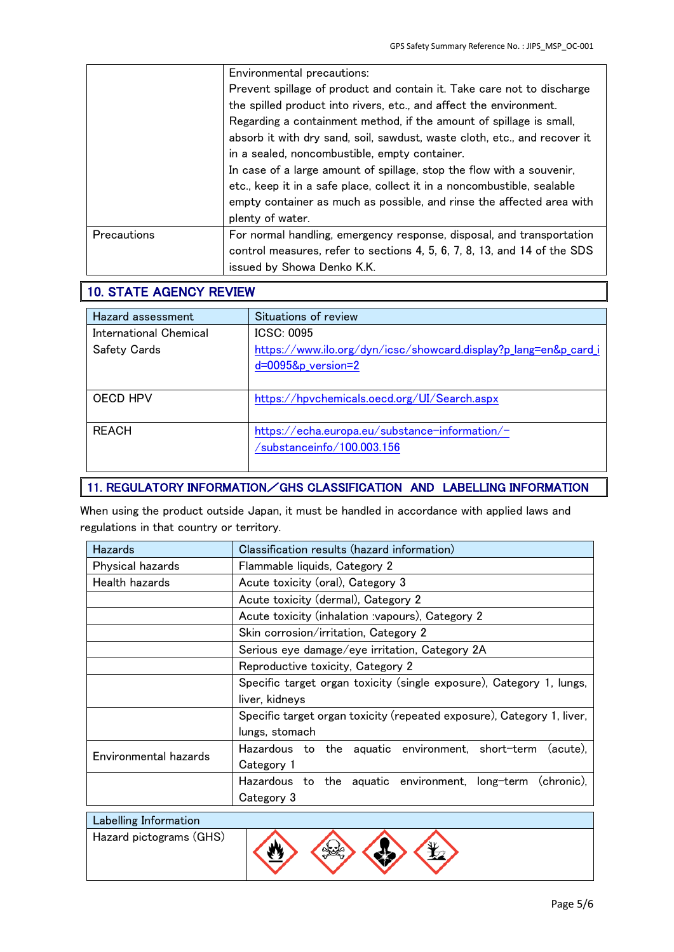|                    | Environmental precautions:                                                |
|--------------------|---------------------------------------------------------------------------|
|                    | Prevent spillage of product and contain it. Take care not to discharge    |
|                    | the spilled product into rivers, etc., and affect the environment.        |
|                    | Regarding a containment method, if the amount of spillage is small,       |
|                    | absorb it with dry sand, soil, sawdust, waste cloth, etc., and recover it |
|                    | in a sealed, noncombustible, empty container.                             |
|                    | In case of a large amount of spillage, stop the flow with a souvenir,     |
|                    | etc., keep it in a safe place, collect it in a noncombustible, sealable   |
|                    | empty container as much as possible, and rinse the affected area with     |
|                    | plenty of water.                                                          |
| <b>Precautions</b> | For normal handling, emergency response, disposal, and transportation     |
|                    | control measures, refer to sections 4, 5, 6, 7, 8, 13, and 14 of the SDS  |
|                    | issued by Showa Denko K.K.                                                |

### 10. STATE AGENCY REVIEW

| Hazard assessment                             | Situations of review                                                                                      |
|-----------------------------------------------|-----------------------------------------------------------------------------------------------------------|
| International Chemical<br><b>Safety Cards</b> | ICSC: 0095<br>https://www.ilo.org/dyn/icsc/showcard.display?p_lang=en&p_card_i<br>$d = 0095$ &p_version=2 |
| OECD HPV                                      | https://hpvchemicals.oecd.org/UI/Search.aspx                                                              |
| <b>REACH</b>                                  | https://echa.europa.eu/substance-information/-<br>/substanceinfo/100.003.156                              |

#### 11. REGULATORY INFORMATION/GHS CLASSIFICATION AND LABELLING INFORMATION

When using the product outside Japan, it must be handled in accordance with applied laws and regulations in that country or territory.

| Hazards                 | Classification results (hazard information)                                |  |
|-------------------------|----------------------------------------------------------------------------|--|
| Physical hazards        | Flammable liquids, Category 2                                              |  |
| Health hazards          | Acute toxicity (oral), Category 3                                          |  |
|                         | Acute toxicity (dermal), Category 2                                        |  |
|                         | Acute toxicity (inhalation vapours), Category 2                            |  |
|                         | Skin corrosion/irritation, Category 2                                      |  |
|                         | Serious eye damage/eye irritation, Category 2A                             |  |
|                         | Reproductive toxicity, Category 2                                          |  |
|                         | Specific target organ toxicity (single exposure), Category 1, lungs,       |  |
|                         | liver, kidneys                                                             |  |
|                         | Specific target organ toxicity (repeated exposure), Category 1, liver,     |  |
|                         | lungs, stomach                                                             |  |
| Environmental hazards   | Hazardous to the aquatic environment, short-term<br>(acute).<br>Category 1 |  |
|                         | Hazardous to the aquatic environment, long-term (chronic),                 |  |
|                         | Category 3                                                                 |  |
| Labelling Information   |                                                                            |  |
| Hazard pictograms (GHS) |                                                                            |  |